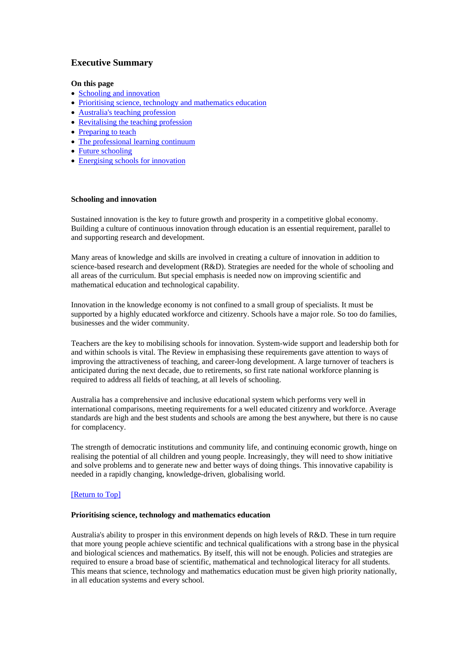# **Executive Summary**

## **On this page**

- Schooling and innovation
- Prioritising science, technology and mathematics education
- Australia's teaching profession
- Revitalising the teaching profession
- Preparing to teach
- The professional learning continuum
- Future schooling
- Energising schools for innovation

## **Schooling and innovation**

Sustained innovation is the key to future growth and prosperity in a competitive global economy. Building a culture of continuous innovation through education is an essential requirement, parallel to and supporting research and development.

Many areas of knowledge and skills are involved in creating a culture of innovation in addition to science-based research and development (R&D). Strategies are needed for the whole of schooling and all areas of the curriculum. But special emphasis is needed now on improving scientific and mathematical education and technological capability.

Innovation in the knowledge economy is not confined to a small group of specialists. It must be supported by a highly educated workforce and citizenry. Schools have a major role. So too do families, businesses and the wider community.

Teachers are the key to mobilising schools for innovation. System-wide support and leadership both for and within schools is vital. The Review in emphasising these requirements gave attention to ways of improving the attractiveness of teaching, and career-long development. A large turnover of teachers is anticipated during the next decade, due to retirements, so first rate national workforce planning is required to address all fields of teaching, at all levels of schooling.

Australia has a comprehensive and inclusive educational system which performs very well in international comparisons, meeting requirements for a well educated citizenry and workforce. Average standards are high and the best students and schools are among the best anywhere, but there is no cause for complacency.

The strength of democratic institutions and community life, and continuing economic growth, hinge on realising the potential of all children and young people. Increasingly, they will need to show initiative and solve problems and to generate new and better ways of doing things. This innovative capability is needed in a rapidly changing, knowledge-driven, globalising world.

## [Return to Top]

## **Prioritising science, technology and mathematics education**

Australia's ability to prosper in this environment depends on high levels of R&D. These in turn require that more young people achieve scientific and technical qualifications with a strong base in the physical and biological sciences and mathematics. By itself, this will not be enough. Policies and strategies are required to ensure a broad base of scientific, mathematical and technological literacy for all students. This means that science, technology and mathematics education must be given high priority nationally, in all education systems and every school.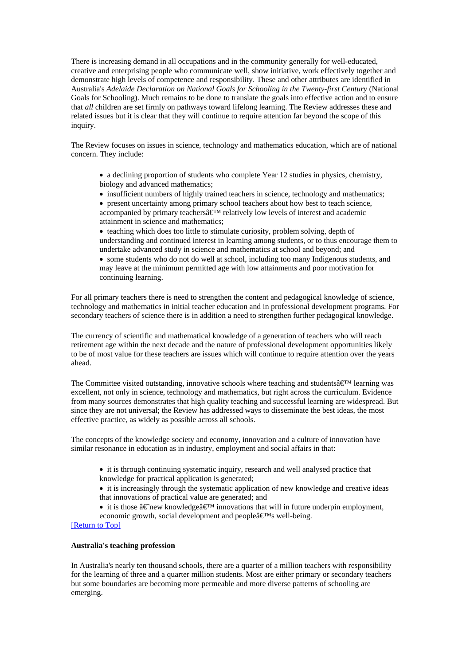There is increasing demand in all occupations and in the community generally for well-educated, creative and enterprising people who communicate well, show initiative, work effectively together and demonstrate high levels of competence and responsibility. These and other attributes are identified in Australia's *Adelaide Declaration on National Goals for Schooling in the Twenty-first Century* (National Goals for Schooling). Much remains to be done to translate the goals into effective action and to ensure that *all* children are set firmly on pathways toward lifelong learning. The Review addresses these and related issues but it is clear that they will continue to require attention far beyond the scope of this inquiry.

The Review focuses on issues in science, technology and mathematics education, which are of national concern. They include:

- a declining proportion of students who complete Year 12 studies in physics, chemistry, biology and advanced mathematics;
- insufficient numbers of highly trained teachers in science, technology and mathematics;
- present uncertainty among primary school teachers about how best to teach science, accompanied by primary teachers $\hat{a} \in \mathbb{R}^M$  relatively low levels of interest and academic attainment in science and mathematics;
- teaching which does too little to stimulate curiosity, problem solving, depth of understanding and continued interest in learning among students, or to thus encourage them to undertake advanced study in science and mathematics at school and beyond; and
- some students who do not do well at school, including too many Indigenous students, and may leave at the minimum permitted age with low attainments and poor motivation for continuing learning.

For all primary teachers there is need to strengthen the content and pedagogical knowledge of science, technology and mathematics in initial teacher education and in professional development programs. For secondary teachers of science there is in addition a need to strengthen further pedagogical knowledge.

The currency of scientific and mathematical knowledge of a generation of teachers who will reach retirement age within the next decade and the nature of professional development opportunities likely to be of most value for these teachers are issues which will continue to require attention over the years ahead.

The Committee visited outstanding, innovative schools where teaching and students $\hat{\mathbf{a}} \in \mathbb{M}$  learning was excellent, not only in science, technology and mathematics, but right across the curriculum. Evidence from many sources demonstrates that high quality teaching and successful learning are widespread. But since they are not universal; the Review has addressed ways to disseminate the best ideas, the most effective practice, as widely as possible across all schools.

The concepts of the knowledge society and economy, innovation and a culture of innovation have similar resonance in education as in industry, employment and social affairs in that:

• it is through continuing systematic inquiry, research and well analysed practice that knowledge for practical application is generated;

• it is increasingly through the systematic application of new knowledge and creative ideas that innovations of practical value are generated; and

- it is those  $\hat{a} \in \hat{B}$  innovations that will in future underpin employment, economic growth, social development and people $\hat{\mathbf{a}} \in \mathbb{R}^M$ s well-being.
- [Return to Top]

#### **Australia's teaching profession**

In Australia's nearly ten thousand schools, there are a quarter of a million teachers with responsibility for the learning of three and a quarter million students. Most are either primary or secondary teachers but some boundaries are becoming more permeable and more diverse patterns of schooling are emerging.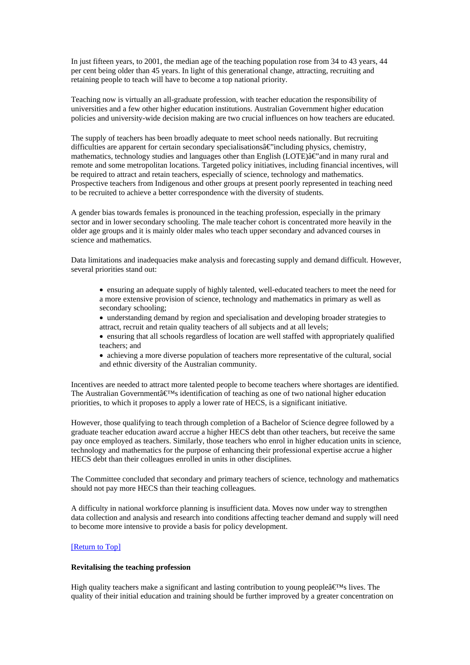In just fifteen years, to 2001, the median age of the teaching population rose from 34 to 43 years, 44 per cent being older than 45 years. In light of this generational change, attracting, recruiting and retaining people to teach will have to become a top national priority.

Teaching now is virtually an all-graduate profession, with teacher education the responsibility of universities and a few other higher education institutions. Australian Government higher education policies and university-wide decision making are two crucial influences on how teachers are educated.

The supply of teachers has been broadly adequate to meet school needs nationally. But recruiting difficulties are apparent for certain secondary specialisations $\hat{a} \in \hat{c}$  including physics, chemistry, mathematics, technology studies and languages other than English (LOTE) $\hat{a}\epsilon$  and in many rural and remote and some metropolitan locations. Targeted policy initiatives, including financial incentives, will be required to attract and retain teachers, especially of science, technology and mathematics. Prospective teachers from Indigenous and other groups at present poorly represented in teaching need to be recruited to achieve a better correspondence with the diversity of students.

A gender bias towards females is pronounced in the teaching profession, especially in the primary sector and in lower secondary schooling. The male teacher cohort is concentrated more heavily in the older age groups and it is mainly older males who teach upper secondary and advanced courses in science and mathematics.

Data limitations and inadequacies make analysis and forecasting supply and demand difficult. However, several priorities stand out:

• ensuring an adequate supply of highly talented, well-educated teachers to meet the need for a more extensive provision of science, technology and mathematics in primary as well as secondary schooling;

• understanding demand by region and specialisation and developing broader strategies to attract, recruit and retain quality teachers of all subjects and at all levels;

- ensuring that all schools regardless of location are well staffed with appropriately qualified teachers; and
- achieving a more diverse population of teachers more representative of the cultural, social and ethnic diversity of the Australian community.

Incentives are needed to attract more talented people to become teachers where shortages are identified. The Australian Government $\hat{a} \in M_s$  identification of teaching as one of two national higher education priorities, to which it proposes to apply a lower rate of HECS, is a significant initiative.

However, those qualifying to teach through completion of a Bachelor of Science degree followed by a graduate teacher education award accrue a higher HECS debt than other teachers, but receive the same pay once employed as teachers. Similarly, those teachers who enrol in higher education units in science, technology and mathematics for the purpose of enhancing their professional expertise accrue a higher HECS debt than their colleagues enrolled in units in other disciplines.

The Committee concluded that secondary and primary teachers of science, technology and mathematics should not pay more HECS than their teaching colleagues.

A difficulty in national workforce planning is insufficient data. Moves now under way to strengthen data collection and analysis and research into conditions affecting teacher demand and supply will need to become more intensive to provide a basis for policy development.

#### [Return to Top]

## **Revitalising the teaching profession**

High quality teachers make a significant and lasting contribution to young people $\hat{\mathbf{a}} \in \mathbb{R}^N$  lives. The quality of their initial education and training should be further improved by a greater concentration on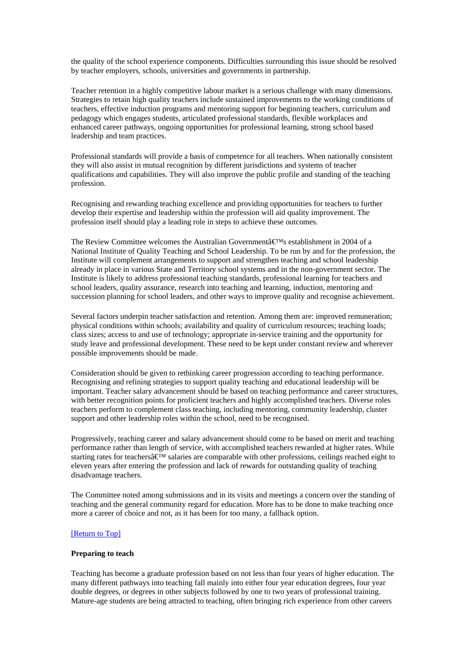the quality of the school experience components. Difficulties surrounding this issue should be resolved by teacher employers, schools, universities and governments in partnership.

Teacher retention in a highly competitive labour market is a serious challenge with many dimensions. Strategies to retain high quality teachers include sustained improvements to the working conditions of teachers, effective induction programs and mentoring support for beginning teachers, curriculum and pedagogy which engages students, articulated professional standards, flexible workplaces and enhanced career pathways, ongoing opportunities for professional learning, strong school based leadership and team practices.

Professional standards will provide a basis of competence for all teachers. When nationally consistent they will also assist in mutual recognition by different jurisdictions and systems of teacher qualifications and capabilities. They will also improve the public profile and standing of the teaching profession.

Recognising and rewarding teaching excellence and providing opportunities for teachers to further develop their expertise and leadership within the profession will aid quality improvement. The profession itself should play a leading role in steps to achieve these outcomes.

The Review Committee welcomes the Australian Government $\hat{a}\in M$ s establishment in 2004 of a National Institute of Quality Teaching and School Leadership. To be run by and for the profession, the Institute will complement arrangements to support and strengthen teaching and school leadership already in place in various State and Territory school systems and in the non-government sector. The Institute is likely to address professional teaching standards, professional learning for teachers and school leaders, quality assurance, research into teaching and learning, induction, mentoring and succession planning for school leaders, and other ways to improve quality and recognise achievement.

Several factors underpin teacher satisfaction and retention. Among them are: improved remuneration; physical conditions within schools; availability and quality of curriculum resources; teaching loads; class sizes; access to and use of technology; appropriate in-service training and the opportunity for study leave and professional development. These need to be kept under constant review and wherever possible improvements should be made.

Consideration should be given to rethinking career progression according to teaching performance. Recognising and refining strategies to support quality teaching and educational leadership will be important. Teacher salary advancement should be based on teaching performance and career structures, with better recognition points for proficient teachers and highly accomplished teachers. Diverse roles teachers perform to complement class teaching, including mentoring, community leadership, cluster support and other leadership roles within the school, need to be recognised.

Progressively, teaching career and salary advancement should come to be based on merit and teaching performance rather than length of service, with accomplished teachers rewarded at higher rates. While starting rates for teachers  $\hat{\mathbf{x}}^{\mathbf{M}}$  salaries are comparable with other professions, ceilings reached eight to eleven years after entering the profession and lack of rewards for outstanding quality of teaching disadvantage teachers.

The Committee noted among submissions and in its visits and meetings a concern over the standing of teaching and the general community regard for education. More has to be done to make teaching once more a career of choice and not, as it has been for too many, a fallback option.

#### [Return to Top]

#### **Preparing to teach**

Teaching has become a graduate profession based on not less than four years of higher education. The many different pathways into teaching fall mainly into either four year education degrees, four year double degrees, or degrees in other subjects followed by one to two years of professional training. Mature-age students are being attracted to teaching, often bringing rich experience from other careers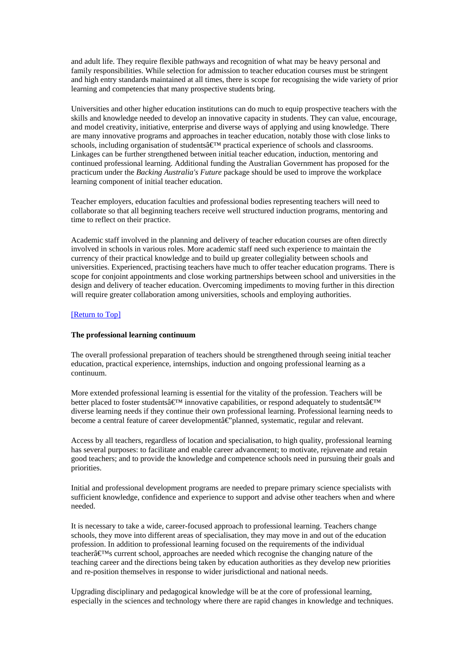and adult life. They require flexible pathways and recognition of what may be heavy personal and family responsibilities. While selection for admission to teacher education courses must be stringent and high entry standards maintained at all times, there is scope for recognising the wide variety of prior learning and competencies that many prospective students bring.

Universities and other higher education institutions can do much to equip prospective teachers with the skills and knowledge needed to develop an innovative capacity in students. They can value, encourage, and model creativity, initiative, enterprise and diverse ways of applying and using knowledge. There are many innovative programs and approaches in teacher education, notably those with close links to schools, including organisation of students $\hat{\mathbf{a}} \in \mathbb{N}$  practical experience of schools and classrooms. Linkages can be further strengthened between initial teacher education, induction, mentoring and continued professional learning. Additional funding the Australian Government has proposed for the practicum under the *Backing Australia's Future* package should be used to improve the workplace learning component of initial teacher education.

Teacher employers, education faculties and professional bodies representing teachers will need to collaborate so that all beginning teachers receive well structured induction programs, mentoring and time to reflect on their practice.

Academic staff involved in the planning and delivery of teacher education courses are often directly involved in schools in various roles. More academic staff need such experience to maintain the currency of their practical knowledge and to build up greater collegiality between schools and universities. Experienced, practising teachers have much to offer teacher education programs. There is scope for conjoint appointments and close working partnerships between school and universities in the design and delivery of teacher education. Overcoming impediments to moving further in this direction will require greater collaboration among universities, schools and employing authorities.

## [Return to Top]

## **The professional learning continuum**

The overall professional preparation of teachers should be strengthened through seeing initial teacher education, practical experience, internships, induction and ongoing professional learning as a continuum.

More extended professional learning is essential for the vitality of the profession. Teachers will be better placed to foster students  $\mathbf{\hat{\theta}}^{\mathbf{M}}$  innovative capabilities, or respond adequately to students  $\mathbf{\hat{\theta}}^{\mathbf{M}}$ diverse learning needs if they continue their own professional learning. Professional learning needs to become a central feature of career development $\hat{\mathbf{a}} \cdot \hat{\mathbf{c}}$  blanned, systematic, regular and relevant.

Access by all teachers, regardless of location and specialisation, to high quality, professional learning has several purposes: to facilitate and enable career advancement; to motivate, rejuvenate and retain good teachers; and to provide the knowledge and competence schools need in pursuing their goals and priorities.

Initial and professional development programs are needed to prepare primary science specialists with sufficient knowledge, confidence and experience to support and advise other teachers when and where needed.

It is necessary to take a wide, career-focused approach to professional learning. Teachers change schools, they move into different areas of specialisation, they may move in and out of the education profession. In addition to professional learning focused on the requirements of the individual teacher $\hat{\mathbf{a}} \in \mathbb{M}$ s current school, approaches are needed which recognise the changing nature of the teaching career and the directions being taken by education authorities as they develop new priorities and re-position themselves in response to wider jurisdictional and national needs.

Upgrading disciplinary and pedagogical knowledge will be at the core of professional learning, especially in the sciences and technology where there are rapid changes in knowledge and techniques.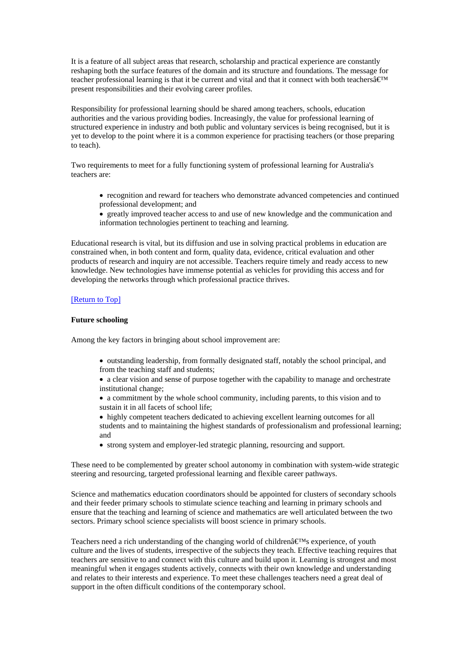It is a feature of all subject areas that research, scholarship and practical experience are constantly reshaping both the surface features of the domain and its structure and foundations. The message for teacher professional learning is that it be current and vital and that it connect with both teachers $\hat{\mathbf{a}} \in \mathbb{M}$ present responsibilities and their evolving career profiles.

Responsibility for professional learning should be shared among teachers, schools, education authorities and the various providing bodies. Increasingly, the value for professional learning of structured experience in industry and both public and voluntary services is being recognised, but it is yet to develop to the point where it is a common experience for practising teachers (or those preparing to teach).

Two requirements to meet for a fully functioning system of professional learning for Australia's teachers are:

- recognition and reward for teachers who demonstrate advanced competencies and continued professional development; and
- greatly improved teacher access to and use of new knowledge and the communication and information technologies pertinent to teaching and learning.

Educational research is vital, but its diffusion and use in solving practical problems in education are constrained when, in both content and form, quality data, evidence, critical evaluation and other products of research and inquiry are not accessible. Teachers require timely and ready access to new knowledge. New technologies have immense potential as vehicles for providing this access and for developing the networks through which professional practice thrives.

## [Return to Top]

#### **Future schooling**

Among the key factors in bringing about school improvement are:

• outstanding leadership, from formally designated staff, notably the school principal, and from the teaching staff and students;

• a clear vision and sense of purpose together with the capability to manage and orchestrate institutional change;

• a commitment by the whole school community, including parents, to this vision and to sustain it in all facets of school life;

• highly competent teachers dedicated to achieving excellent learning outcomes for all students and to maintaining the highest standards of professionalism and professional learning; and

• strong system and employer-led strategic planning, resourcing and support.

These need to be complemented by greater school autonomy in combination with system-wide strategic steering and resourcing, targeted professional learning and flexible career pathways.

Science and mathematics education coordinators should be appointed for clusters of secondary schools and their feeder primary schools to stimulate science teaching and learning in primary schools and ensure that the teaching and learning of science and mathematics are well articulated between the two sectors. Primary school science specialists will boost science in primary schools.

Teachers need a rich understanding of the changing world of children $\hat{a} \in \mathbb{R}^N$ s experience, of youth culture and the lives of students, irrespective of the subjects they teach. Effective teaching requires that teachers are sensitive to and connect with this culture and build upon it. Learning is strongest and most meaningful when it engages students actively, connects with their own knowledge and understanding and relates to their interests and experience. To meet these challenges teachers need a great deal of support in the often difficult conditions of the contemporary school.